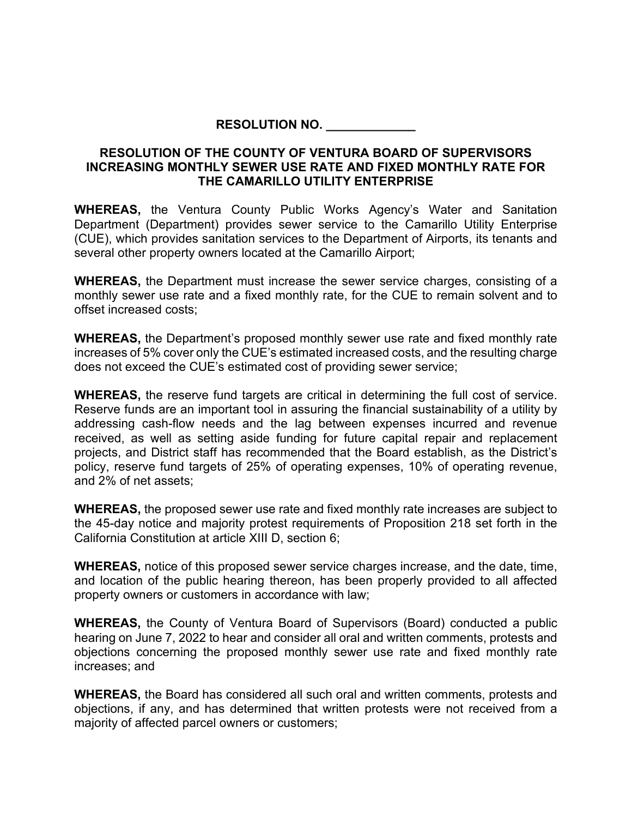## **RESOLUTION NO. \_\_\_\_\_\_\_\_\_\_\_\_\_**

## **RESOLUTION OF THE COUNTY OF VENTURA BOARD OF SUPERVISORS INCREASING MONTHLY SEWER USE RATE AND FIXED MONTHLY RATE FOR THE CAMARILLO UTILITY ENTERPRISE**

**WHEREAS,** the Ventura County Public Works Agency's Water and Sanitation Department (Department) provides sewer service to the Camarillo Utility Enterprise (CUE), which provides sanitation services to the Department of Airports, its tenants and several other property owners located at the Camarillo Airport;

**WHEREAS,** the Department must increase the sewer service charges, consisting of a monthly sewer use rate and a fixed monthly rate, for the CUE to remain solvent and to offset increased costs;

**WHEREAS,** the Department's proposed monthly sewer use rate and fixed monthly rate increases of 5% cover only the CUE's estimated increased costs, and the resulting charge does not exceed the CUE's estimated cost of providing sewer service;

**WHEREAS,** the reserve fund targets are critical in determining the full cost of service. Reserve funds are an important tool in assuring the financial sustainability of a utility by addressing cash-flow needs and the lag between expenses incurred and revenue received, as well as setting aside funding for future capital repair and replacement projects, and District staff has recommended that the Board establish, as the District's policy, reserve fund targets of 25% of operating expenses, 10% of operating revenue, and 2% of net assets;

**WHEREAS,** the proposed sewer use rate and fixed monthly rate increases are subject to the 45-day notice and majority protest requirements of Proposition 218 set forth in the California Constitution at article XIII D, section 6;

**WHEREAS,** notice of this proposed sewer service charges increase, and the date, time, and location of the public hearing thereon, has been properly provided to all affected property owners or customers in accordance with law;

**WHEREAS,** the County of Ventura Board of Supervisors (Board) conducted a public hearing on June 7, 2022 to hear and consider all oral and written comments, protests and objections concerning the proposed monthly sewer use rate and fixed monthly rate increases; and

**WHEREAS,** the Board has considered all such oral and written comments, protests and objections, if any, and has determined that written protests were not received from a majority of affected parcel owners or customers;